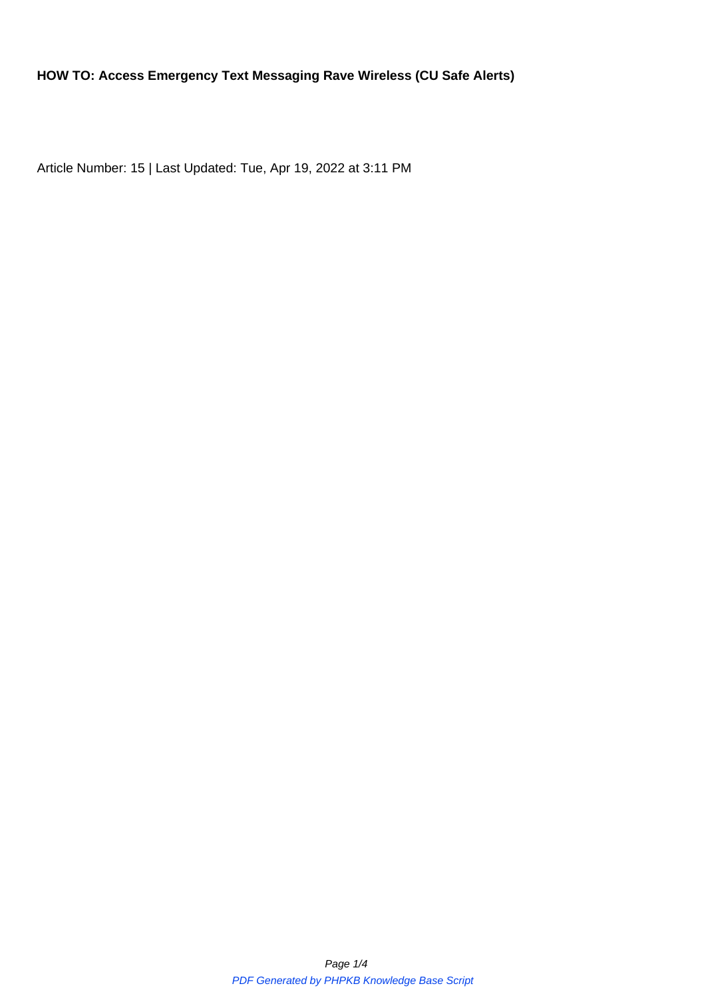Article Number: 15 | Last Updated: Tue, Apr 19, 2022 at 3:11 PM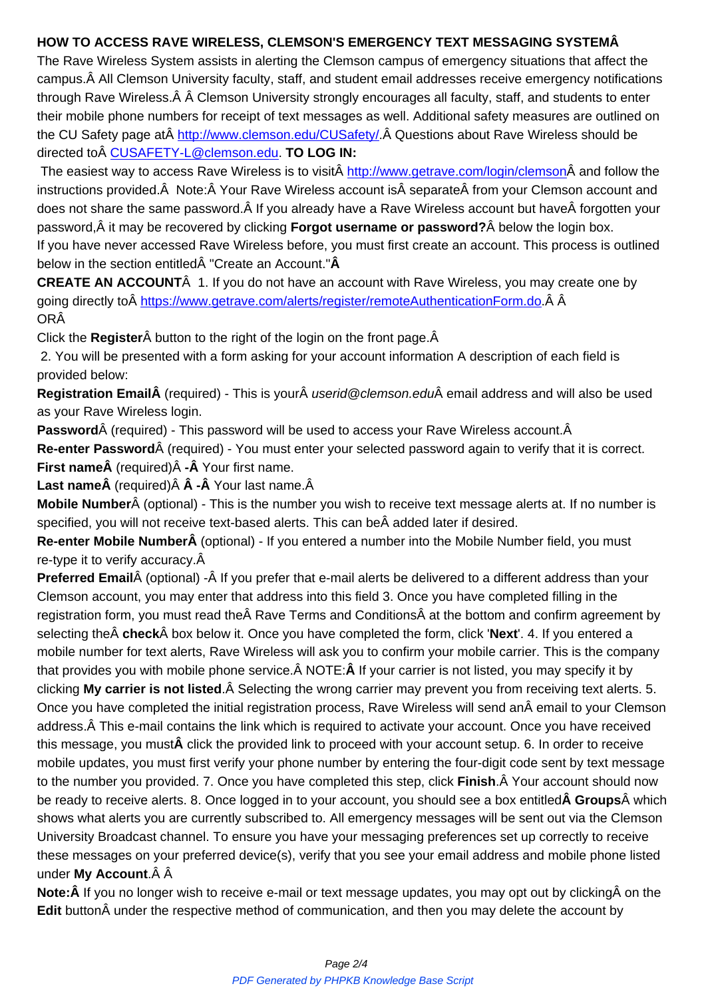The Rave Wireless System assists in alerting the Clemson campus of emergency situations that affect the campus. All Clemson University faculty, staff, and student email addresses receive emergency notifications through Rave Wireless. Â Â Clemson University strongly encourages all faculty, staff, and students to enter their mobile phone numbers for receipt of text messages as well. Additional safety measures are outlined on the CU Safety page at http://www.clemson.edu/CUSafety/. Questions about Rave Wireless should be directed to CUSAFETY-L@clemson.edu. **TO LOG IN:** 

The easiest way to access Rave Wireless is to visit http://www.getrave.com/login/clemson and follow the instructions provided. Note: Your Rave Wireless account is separate from your Clemson account and does not share the same password. A If you already have a Rave Wireless account but have A forgotten your password,  $\hat{A}$  it may be recovered by clicking **Forgot u[sername or password?](http://www.getrave.com/login/clemson)**  $\hat{A}$  below the login box. If you have never accessed Rave Wireless before, you must first create an account. This process is outlined below in the section entitled "Create an Account."  $\hat{A}$ 

**CREATE AN ACCOUNT** 1. If you do not have an account with Rave Wireless, you may create one by going directly to https://www.getrave.com/alerts/register/remoteAuthenticationForm.do. Â Â ORÂ

Click the **Register** A button to the right of the login on the front page. A

2. You will be pre[sented with a form asking for your account information](https://www.getrave.com/alerts/register/remoteAuthenticationForm.do) A description of each field is provided below:

**Registration EmailÂ** (required) - This is your *userid@clemson.edu* email address and will also be used as your Rave Wireless login.

**Password** (required) - This password will be used to access your Rave Wireless account.Â **Re-enter Password** (required) - You must enter your selected password again to verify that it is correct. **First nameÂ** (required)Â -Â Your first name.

**Last nameÂ** (required)Â Â -Â Your last name.Â

**Mobile Number** (optional) - This is the number you wish to receive text message alerts at. If no number is specified, you will not receive text-based alerts. This can be added later if desired.

**Re-enter Mobile NumberÂ** (optional) - If you entered a number into the Mobile Number field, you must re-type it to verify accuracy.  $\hat{A}$ 

Preferred Email (optional) -Â If you prefer that e-mail alerts be delivered to a different address than your Clemson account, you may enter that address into this field 3. Once you have completed filling in the registration form, you must read the Rave Terms and Conditions at the bottom and confirm agreement by selecting the  $\hat{A}$  **check** $\hat{A}$  box below it. Once you have completed the form, click 'Next'. 4. If you entered a mobile number for text alerts, Rave Wireless will ask you to confirm your mobile carrier. This is the company that provides you with mobile phone service. A NOTE: A If your carrier is not listed, you may specify it by clicking **My carrier is not listed**. A Selecting the wrong carrier may prevent you from receiving text alerts. 5. Once you have completed the initial registration process, Rave Wireless will send an email to your Clemson address. A This e-mail contains the link which is required to activate your account. Once you have received this message, you must**Â** click the provided link to proceed with your account setup. 6. In order to receive mobile updates, you must first verify your phone number by entering the four-digit code sent by text message to the number you provided. 7. Once you have completed this step, click **Finish**. Your account should now be ready to receive alerts. 8. Once logged in to your account, you should see a box entitled**A Groups**A which shows what alerts you are currently subscribed to. All emergency messages will be sent out via the Clemson University Broadcast channel. To ensure you have your messaging preferences set up correctly to receive these messages on your preferred device(s), verify that you see your email address and mobile phone listed under **My Account**.

**Note:** If you no longer wish to receive e-mail or text message updates, you may opt out by clicking on the **Edit** button $\hat{A}$  under the respective method of communication, and then you may delete the account by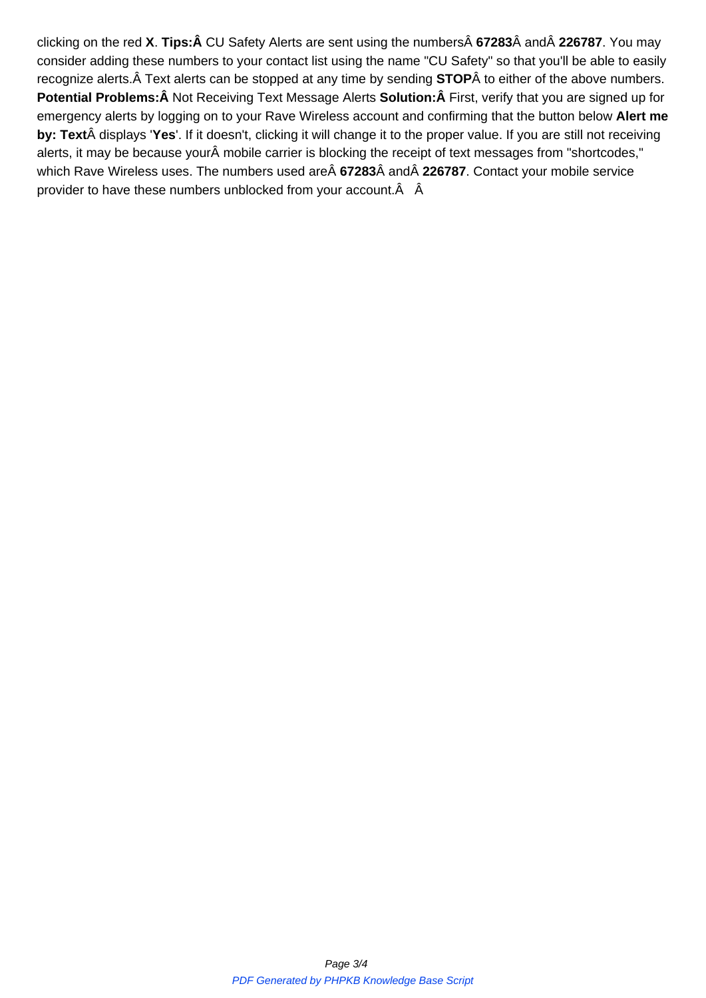consider adding these numbers to your contact list using the name "CU Safety" so that you'll be able to easily recognize alerts. A Text alerts can be stopped at any time by sending **STOP** A to either of the above numbers. **Potential Problems:Â** Not Receiving Text Message Alerts **Solution:Â** First, verify that you are signed up for emergency alerts by logging on to your Rave Wireless account and confirming that the button below **Alert me** by: Text displays 'Yes'. If it doesn't, clicking it will change it to the proper value. If you are still not receiving alerts, it may be because your mobile carrier is blocking the receipt of text messages from "shortcodes," which Rave Wireless uses. The numbers used are  $\hat{A}$  67283 $\hat{A}$  and  $\hat{A}$  226787. Contact your mobile service provider to have these numbers unblocked from your account. $\hat{A}$   $\hat{A}$